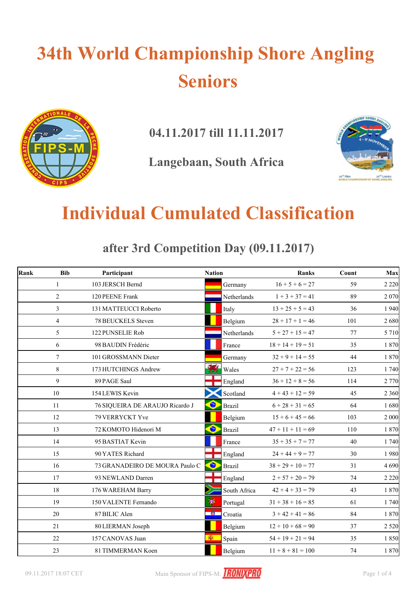# **34th World Championship Shore Angling Seniors**



**04.11.2017 till 11.11.2017**

**Langebaan, South Africa**



### **Individual Cumulated Classification**

**after 3rd Competition Day (09.11.2017)**

| Rank | <b>Bib</b>     | Participant                     | <b>Nation</b> |               | <b>Ranks</b>        | Count | Max     |
|------|----------------|---------------------------------|---------------|---------------|---------------------|-------|---------|
|      | $\mathbf{1}$   | 103 JERSCH Bernd                |               | Germany       | $16 + 5 + 6 = 27$   | 59    | 2 2 2 0 |
|      | $\overline{2}$ | 120 PEENE Frank                 |               | Netherlands   | $1 + 3 + 37 = 41$   | 89    | 2 0 70  |
|      | $\overline{3}$ | 131 MATTEUCCI Roberto           |               | Italy         | $13 + 25 + 5 = 43$  | 36    | 1940    |
|      | $\overline{4}$ | <b>78 BEUCKELS Steven</b>       |               | Belgium       | $28 + 17 + 1 = 46$  | 101   | 2680    |
|      | 5              | 122 PUNSELIE Rob                |               | Netherlands   | $5 + 27 + 15 = 47$  | 77    | 5 7 1 0 |
|      | 6              | 98 BAUDIN Frédéric              |               | France        | $18 + 14 + 19 = 51$ | 35    | 1870    |
|      | $\tau$         | 101 GROSSMANN Dieter            |               | Germany       | $32 + 9 + 14 = 55$  | 44    | 1870    |
|      | 8              | 173 HUTCHINGS Andrew            |               | Wales         | $27 + 7 + 22 = 56$  | 123   | 1740    |
|      | 9              | 89 PAGE Saul                    |               | England       | $36 + 12 + 8 = 56$  | 114   | 2 770   |
|      | 10             | 154 LEWIS Kevin                 |               | Scotland      | $4 + 43 + 12 = 59$  | 45    | 2 3 6 0 |
|      | 11             | 76 SIQUEIRA DE ARAUJO Ricardo J | $\bullet$     | <b>Brazil</b> | $6 + 28 + 31 = 65$  | 64    | 1680    |
|      | 12             | 79 VERRYCKT Yve                 |               | Belgium       | $15 + 6 + 45 = 66$  | 103   | 2 0 0 0 |
|      | 13             | 72 KOMOTO Hidenori M            | $\bullet$     | <b>Brazil</b> | $47 + 11 + 11 = 69$ | 110   | 1870    |
|      | 14             | 95 BASTIAT Kevin                |               | France        | $35 + 35 + 7 = 77$  | 40    | 1740    |
|      | 15             | 90 YATES Richard                |               | England       | $24 + 44 + 9 = 77$  | 30    | 1980    |
|      | 16             | 73 GRANADEIRO DE MOURA Paulo C  | $\bullet$     | <b>Brazil</b> | $38 + 29 + 10 = 77$ | 31    | 4 6 9 0 |
|      | 17             | 93 NEWLAND Darren               |               | England       | $2 + 57 + 20 = 79$  | 74    | 2 2 2 0 |
|      | 18             | 176 WAREHAM Barry               |               | South Africa  | $42 + 4 + 33 = 79$  | 43    | 1870    |
|      | 19             | 150 VALENTE Fernando            | 渺             | Portugal      | $31 + 38 + 16 = 85$ | 61    | 1740    |
|      | 20             | 87 BILIC Alen                   | 一箇            | Croatia       | $3 + 42 + 41 = 86$  | 84    | 1870    |
|      | 21             | 80 LIERMAN Joseph               |               | Belgium       | $12 + 10 + 68 = 90$ | 37    | 2 5 2 0 |
|      | 22             | 157 CANOVAS Juan                | 图             | Spain         | $54 + 19 + 21 = 94$ | 35    | 1850    |
|      | 23             | 81 TIMMERMAN Koen               |               | Belgium       | $11 + 8 + 81 = 100$ | 74    | 1 870   |

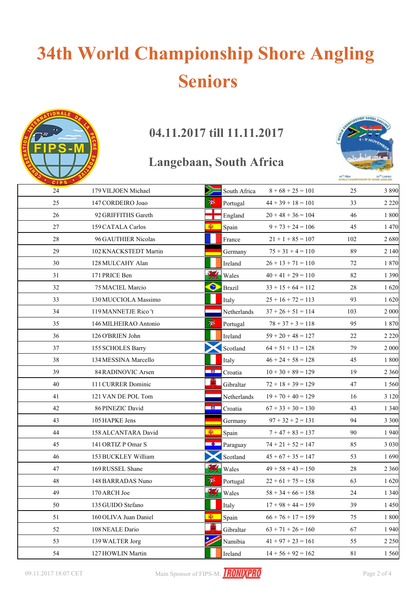# **34th World Championship Shore Angling Seniors**



### 04.11.2017 till 11.11.2017

#### Langebaan, South Africa



| CIPS <sup>1</sup> |                       |                            |                      |        |         |
|-------------------|-----------------------|----------------------------|----------------------|--------|---------|
| 24                | 179 VILJOEN Michael   | South Africa               | $8+68+25=101$        | 25     | 3890    |
| 25                | 147 CORDEIRO Joao     | 19)<br>Portugal            | $44 + 39 + 18 = 101$ | 33     | 2 2 2 0 |
| 26                | 92 GRIFFITHS Gareth   | England                    | $20 + 48 + 36 = 104$ | 46     | 1800    |
| 27                | 159 CATALA Carlos     | Ñ.<br>Spain                | $9 + 73 + 24 = 106$  | 45     | 1470    |
| 28                | 96 GAUTHIER Nicolas   | France                     | $21 + 1 + 85 = 107$  | 102    | 2680    |
| 29                | 102 KNACKSTEDT Martin | Germany                    | $75 + 31 + 4 = 110$  | 89     | 2 1 4 0 |
| 30                | 128 MULCAHY Alan      | Ireland                    | $26 + 13 + 71 = 110$ | 72     | 1870    |
| 31                | 171 PRICE Ben         | Wales                      | $40 + 41 + 29 = 110$ | 82     | 1 3 9 0 |
| 32                | 75 MACIEL Marcio      | $\bullet$<br><b>Brazil</b> | $33 + 15 + 64 = 112$ | 28     | 1620    |
| 33                | 130 MUCCIOLA Massimo  | Italy                      | $25 + 16 + 72 = 113$ | 93     | 1620    |
| 34                | 119 MANNETJE Rico't   | Netherlands                | $37 + 26 + 51 = 114$ | 103    | 2 000   |
| 35                | 146 MILHEIRAO Antonio | 瀏<br>Portugal              | $78 + 37 + 3 = 118$  | 95     | 1870    |
| 36                | 126 O'BRIEN John      | Ireland                    | $59 + 20 + 48 = 127$ | 22     | 2 2 2 0 |
| 37                | 155 SCHOLES Barry     | Scotland                   | $64 + 51 + 13 = 128$ | 79     | 2 000   |
| 38                | 134 MESSINA Marcello  | Italy                      | $46 + 24 + 58 = 128$ | 45     | 1800    |
| 39                | 84 RADINOVIC Arsen    | <b>AND THE</b><br>Croatia  | $10 + 30 + 89 = 129$ | 19     | 2 3 6 0 |
| 40                | 111 CURRER Dominic    | Gibraltar                  | $72 + 18 + 39 = 129$ | 47     | 1 5 6 0 |
| 41                | 121 VAN DE POL Tom    | Netherlands                | $19 + 70 + 40 = 129$ | 16     | 3 1 2 0 |
| 42                | 86 PINEZIC David      | - 80 -<br>Croatia          | $67 + 33 + 30 = 130$ | 43     | 1 3 4 0 |
| 43                | 105 HAPKE Jens        | Germany                    | $97 + 32 + 2 = 131$  | 94     | 3 3 0 0 |
| 44                | 158 ALCANTARA David   | Ñ.<br>Spain                | $7 + 47 + 83 = 137$  | 90     | 1940    |
| 45                | 141 ORTIZ P Omar S    | $\bullet$<br>Paraguay      | $74 + 21 + 52 = 147$ | 85     | 3 0 3 0 |
| 46                | 153 BUCKLEY William   | Scotland                   | $45 + 67 + 35 = 147$ | 53     | 1690    |
| 47                | 169 RUSSEL Shane      | Wales                      | $49 + 58 + 43 = 150$ | 28     | 2 3 6 0 |
| 48                | 148 BARRADAS Nuno     | 渺<br>Portugal              | $22 + 61 + 75 = 158$ | 63     | 1620    |
| 49                | 170 ARCH Joe          | 95.<br>Wales               | $58 + 34 + 66 = 158$ | 24     | 1 3 4 0 |
| 50                | 135 GUIDO Stefano     | Italy                      | $17 + 98 + 44 = 159$ | 39     | 1 4 5 0 |
| 51                | 160 OLIVA Juan Daniel | Spain                      | $66 + 76 + 17 = 159$ | 75     | 1800    |
| 52                | 108 NEALE Dario       | Gibraltar                  | $63 + 71 + 26 = 160$ | 67     | 1940    |
| 53                | 139 WALTER Jorg       | Namibia                    | $41 + 97 + 23 = 161$ | 55     | 2 2 5 0 |
| 54                | 127 HOWLIN Martin     | Ireland                    | $14 + 56 + 92 = 162$ | $81\,$ | 1560    |

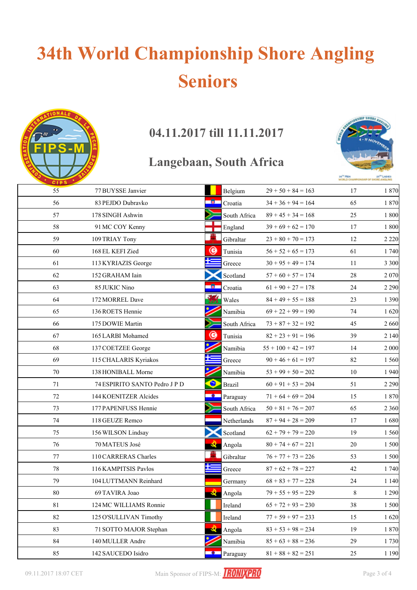# **34th World Championship Shore Angling Seniors**



### **04.11.2017 till 11.11.2017**

#### **Langebaan, South Africa**



| <b>CIPS</b> |                               |           |                    |                       |    |         |
|-------------|-------------------------------|-----------|--------------------|-----------------------|----|---------|
| 55          | 77 BUYSSE Janvier             |           | Belgium            | $29 + 50 + 84 = 163$  | 17 | 1870    |
| 56          | 83 PEJDO Dubravko             | 一線口       | Croatia            | $34 + 36 + 94 = 164$  | 65 | 1870    |
| 57          | 178 SINGH Ashwin              |           | South Africa       | $89 + 45 + 34 = 168$  | 25 | 1800    |
| 58          | 91 MC COY Kenny               |           | England            | $39 + 69 + 62 = 170$  | 17 | 1800    |
| 59          | 109 TRIAY Tony                |           | Gibraltar          | $23 + 80 + 70 = 173$  | 12 | 2 2 2 0 |
| 60          | 168 EL KEFI Zied              | ◉         | Tunisia            | $56 + 52 + 65 = 173$  | 61 | 1 740   |
| 61          | 113 KYRIAZIS George           |           | Greece             | $30 + 95 + 49 = 174$  | 11 | 3 3 0 0 |
| 62          | 152 GRAHAM Iain               |           | Scotland           | $57 + 60 + 57 = 174$  | 28 | 2 0 7 0 |
| 63          | 85 JUKIC Nino                 | 78.       | Croatia            | $61 + 90 + 27 = 178$  | 24 | 2 2 9 0 |
| 64          | 172 MORREL Dave               |           | Wales              | $84 + 49 + 55 = 188$  | 23 | 1 3 9 0 |
| 65          | 136 ROETS Hennie              |           | Namibia            | $69 + 22 + 99 = 190$  | 74 | 1620    |
| 66          | 175 DOWIE Martin              |           | South Africa       | $73 + 87 + 32 = 192$  | 45 | 2 6 6 0 |
| 67          | 165 LARBI Mohamed             | ۰         | Tunisia            | $82 + 23 + 91 = 196$  | 39 | 2 1 4 0 |
| 68          | 137 COETZEE George            |           | Namibia            | $55 + 100 + 42 = 197$ | 14 | 2 0 0 0 |
| 69          | 115 CHALARIS Kyriakos         |           | Greece             | $90 + 46 + 61 = 197$  | 82 | 1 5 6 0 |
| 70          | 138 HONIBALL Morne            |           | Namibia            | $53 + 99 + 50 = 202$  | 10 | 1940    |
| 71          | 74 ESPIRITO SANTO Pedro J P D | $\bullet$ | <b>Brazil</b>      | $60 + 91 + 53 = 204$  | 51 | 2 2 9 0 |
| 72          | 144 KOENITZER Alcides         | - 0 -     | Paraguay           | $71 + 64 + 69 = 204$  | 15 | 1870    |
| 73          | 177 PAPENFUSS Hennie          |           | South Africa       | $50 + 81 + 76 = 207$  | 65 | 2 3 6 0 |
| 74          | 118 GEUZE Remco               |           | Netherlands        | $87 + 94 + 28 = 209$  | 17 | 1680    |
| 75          | 156 WILSON Lindsay            |           | Scotland           | $62 + 79 + 79 = 220$  | 19 | 1 5 6 0 |
| 76          | 70 MATEUS José                |           | Angola             | $80 + 74 + 67 = 221$  | 20 | 1 500   |
| 77          | 110 CARRERAS Charles          | ш         | Gibraltar          | $76 + 77 + 73 = 226$  | 53 | 1 500   |
| 78          | 116 KAMPITSIS Pavlos          |           | Greece             | $87 + 62 + 78 = 227$  | 42 | 1 740   |
| 79          | 104 LUTTMANN Reinhard         |           | Germany            | $68 + 83 + 77 = 228$  | 24 | 1 1 4 0 |
| 80          | 69 TAVIRA Joao                |           | $\triangle$ Angola | $79 + 55 + 95 = 229$  | 8  | 1 2 9 0 |
| 81          | 124 MC WILLIAMS Ronnie        |           | Ireland            | $65 + 72 + 93 = 230$  | 38 | 1 500   |
| 82          | 125 O'SULLIVAN Timothy        |           | Ireland            | $77 + 59 + 97 = 233$  | 15 | 1620    |
| 83          | 71 SOTTO MAJOR Stephan        |           | Angola             | $83 + 53 + 98 = 234$  | 19 | 1870    |
| 84          | 140 MULLER Andre              |           | Namibia            | $85 + 63 + 88 = 236$  | 29 | 1730    |
| 85          | 142 SAUCEDO Isidro            |           | $\Box$ Paraguay    | $81 + 88 + 82 = 251$  | 25 | 1 1 9 0 |